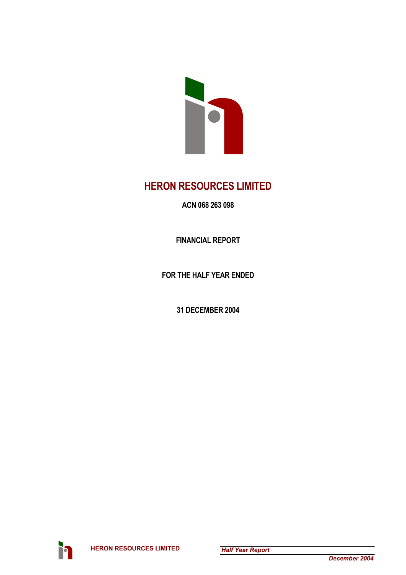

## **HERON RESOURCES LIMITED**

**ACN 068 263 098** 

**FINANCIAL REPORT** 

**FOR THE HALF YEAR ENDED** 

**31 DECEMBER 2004** 

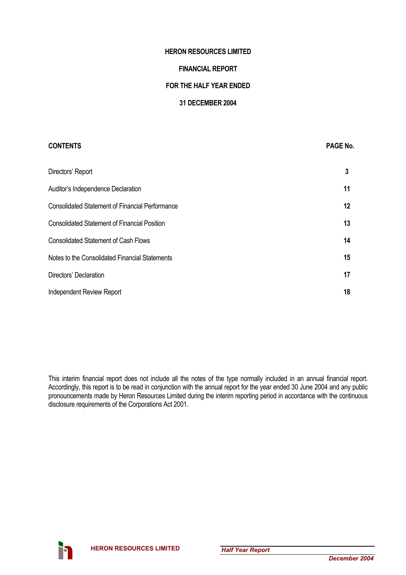### **HERON RESOURCES LIMITED**

### **FINANCIAL REPORT**

### **FOR THE HALF YEAR ENDED**

### **31 DECEMBER 2004**

# **CONTENTS** PAGE No. Directors' Report **3**  Auditor's Independence Declaration **11 11** Consolidated Statement of Financial Performance **12**  Consolidated Statement of Financial Position **13**  Consolidated Statement of Cash Flows **14**  Notes to the Consolidated Financial Statements **15**  Directors' Declaration **17**  Independent Review Report **18**

This interim financial report does not include all the notes of the type normally included in an annual financial report. Accordingly, this report is to be read in conjunction with the annual report for the year ended 30 June 2004 and any public pronouncements made by Heron Resources Limited during the interim reporting period in accordance with the continuous disclosure requirements of the Corporations Act 2001.

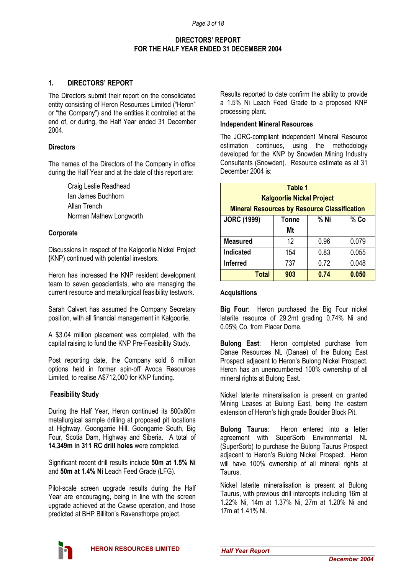### **1. DIRECTORS' REPORT**

The Directors submit their report on the consolidated entity consisting of Heron Resources Limited ("Heron" or "the Company") and the entities it controlled at the end of, or during, the Half Year ended 31 December 2004.

### **Directors**

The names of the Directors of the Company in office during the Half Year and at the date of this report are:

> Craig Leslie Readhead Ian James Buchhorn Allan Trench Norman Mathew Longworth

### **Corporate**

Discussions in respect of the Kalgoorlie Nickel Project **(**KNP) continued with potential investors.

Heron has increased the KNP resident development team to seven geoscientists, who are managing the current resource and metallurgical feasibility testwork.

Sarah Calvert has assumed the Company Secretary position, with all financial management in Kalgoorlie.

A \$3.04 million placement was completed, with the capital raising to fund the KNP Pre-Feasibility Study.

Post reporting date, the Company sold 6 million options held in former spin-off Avoca Resources Limited, to realise A\$712,000 for KNP funding.

### **Feasibility Study**

During the Half Year, Heron continued its 800x80m metallurgical sample drilling at proposed pit locations at Highway, Goongarrie Hill, Goongarrie South, Big Four, Scotia Dam, Highway and Siberia. A total of **14,349m in 311 RC drill holes** were completed.

Significant recent drill results include **50m at 1.5% Ni** and **50m at 1.4% Ni** Leach Feed Grade (LFG).

Pilot-scale screen upgrade results during the Half Year are encouraging, being in line with the screen upgrade achieved at the Cawse operation, and those predicted at BHP Billiton's Ravensthorpe project.

Results reported to date confirm the ability to provide a 1.5% Ni Leach Feed Grade to a proposed KNP processing plant.

### **Independent Mineral Resources**

The JORC-compliant independent Mineral Resource estimation continues, using the methodology developed for the KNP by Snowden Mining Industry Consultants (Snowden). Resource estimate as at 31 December 2004 is:

| Table 1                                             |              |      |       |  |  |  |
|-----------------------------------------------------|--------------|------|-------|--|--|--|
| <b>Kalgoorlie Nickel Project</b>                    |              |      |       |  |  |  |
| <b>Mineral Resources by Resource Classification</b> |              |      |       |  |  |  |
| <b>JORC (1999)</b>                                  | <b>Tonne</b> | % Ni | % Co  |  |  |  |
|                                                     | Mt           |      |       |  |  |  |
| <b>Measured</b>                                     | 12           | 0.96 | 0.079 |  |  |  |
| <b>Indicated</b>                                    | 154          | 0.83 | 0.055 |  |  |  |
| <b>Inferred</b>                                     | 737          | 0.72 | 0.048 |  |  |  |
| <b>Total</b>                                        | 903          | 0.74 | 0.050 |  |  |  |

### **Acquisitions**

**Big Four**: Heron purchased the Big Four nickel laterite resource of 29.2mt grading 0.74% Ni and 0.05% Co, from Placer Dome.

**Bulong East**: Heron completed purchase from Danae Resources NL (Danae) of the Bulong East Prospect adjacent to Heron's Bulong Nickel Prospect. Heron has an unencumbered 100% ownership of all mineral rights at Bulong East.

Nickel laterite mineralisation is present on granted Mining Leases at Bulong East, being the eastern extension of Heron's high grade Boulder Block Pit.

**Bulong Taurus**: Heron entered into a letter agreement with SuperSorb Environmental NL (SuperSorb) to purchase the Bulong Taurus Prospect adjacent to Heron's Bulong Nickel Prospect. Heron will have 100% ownership of all mineral rights at Taurus.

Nickel laterite mineralisation is present at Bulong Taurus, with previous drill intercepts including 16m at 1.22% Ni, 14m at 1.37% Ni, 27m at 1.20% Ni and 17m at 1.41% Ni.

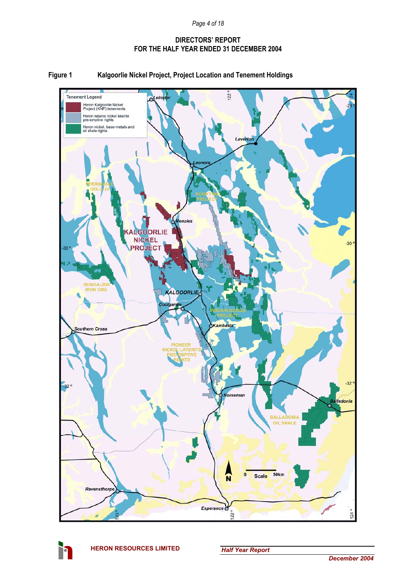

### **Figure 1 Kalgoorlie Nickel Project, Project Location and Tenement Holdings**

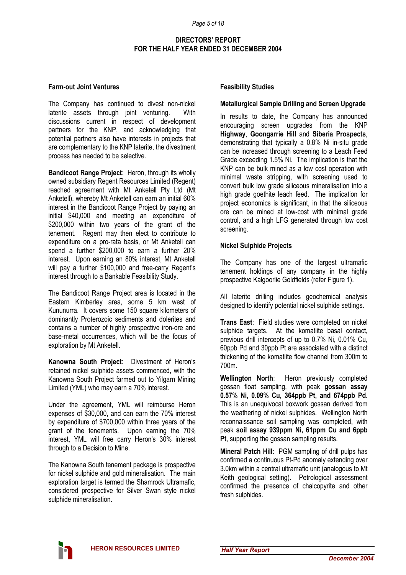### **Farm-out Joint Ventures**

The Company has continued to divest non-nickel laterite assets through joint venturing. With discussions current in respect of development partners for the KNP, and acknowledging that potential partners also have interests in projects that are complementary to the KNP laterite, the divestment process has needed to be selective.

**Bandicoot Range Project**: Heron, through its wholly owned subsidiary Regent Resources Limited (Regent) reached agreement with Mt Anketell Pty Ltd (Mt Anketell), whereby Mt Anketell can earn an initial 60% interest in the Bandicoot Range Project by paying an initial \$40,000 and meeting an expenditure of \$200,000 within two years of the grant of the tenement. Regent may then elect to contribute to expenditure on a pro-rata basis, or Mt Anketell can spend a further \$200,000 to earn a further 20% interest. Upon earning an 80% interest, Mt Anketell will pay a further \$100,000 and free-carry Regent's interest through to a Bankable Feasibility Study.

The Bandicoot Range Project area is located in the Eastern Kimberley area, some 5 km west of Kununurra. It covers some 150 square kilometers of dominantly Proterozoic sediments and dolerites and contains a number of highly prospective iron-ore and base-metal occurrences, which will be the focus of exploration by Mt Anketell.

**Kanowna South Project**: Divestment of Heron's retained nickel sulphide assets commenced, with the Kanowna South Project farmed out to Yilgarn Mining Limited (YML) who may earn a 70% interest.

Under the agreement, YML will reimburse Heron expenses of \$30,000, and can earn the 70% interest by expenditure of \$700,000 within three years of the grant of the tenements. Upon earning the 70% interest, YML will free carry Heron's 30% interest through to a Decision to Mine.

The Kanowna South tenement package is prospective for nickel sulphide and gold mineralisation. The main exploration target is termed the Shamrock Ultramafic, considered prospective for Silver Swan style nickel sulphide mineralisation.

### **Feasibility Studies**

### **Metallurgical Sample Drilling and Screen Upgrade**

In results to date, the Company has announced encouraging screen upgrades from the KNP **Highway**, **Goongarrie Hill** and **Siberia Prospects**, demonstrating that typically a 0.8% Ni in-situ grade can be increased through screening to a Leach Feed Grade exceeding 1.5% Ni. The implication is that the KNP can be bulk mined as a low cost operation with minimal waste stripping, with screening used to convert bulk low grade siliceous mineralisation into a high grade goethite leach feed. The implication for project economics is significant, in that the siliceous ore can be mined at low-cost with minimal grade control, and a high LFG generated through low cost screening.

### **Nickel Sulphide Projects**

The Company has one of the largest ultramafic tenement holdings of any company in the highly prospective Kalgoorlie Goldfields (refer Figure 1).

All laterite drilling includes geochemical analysis designed to identify potential nickel sulphide settings.

**Trans East**: Field studies were completed on nickel sulphide targets. At the komatiite basal contact, previous drill intercepts of up to 0.7% Ni, 0.01% Cu, 60ppb Pd and 30ppb Pt are associated with a distinct thickening of the komatiite flow channel from 300m to 700m.

**Wellington North**: Heron previously completed gossan float sampling, with peak **gossan assay 0.57% Ni, 0.09% Cu, 364ppb Pt, and 674ppb Pd**. This is an unequivocal boxwork gossan derived from the weathering of nickel sulphides. Wellington North reconnaissance soil sampling was completed, with peak **soil assay 939ppm Ni, 61ppm Cu and 6ppb Pt**, supporting the gossan sampling results.

**Mineral Patch Hill**: PGM sampling of drill pulps has confirmed a continuous Pt-Pd anomaly extending over 3.0km within a central ultramafic unit (analogous to Mt Keith geological setting). Petrological assessment confirmed the presence of chalcopyrite and other fresh sulphides.

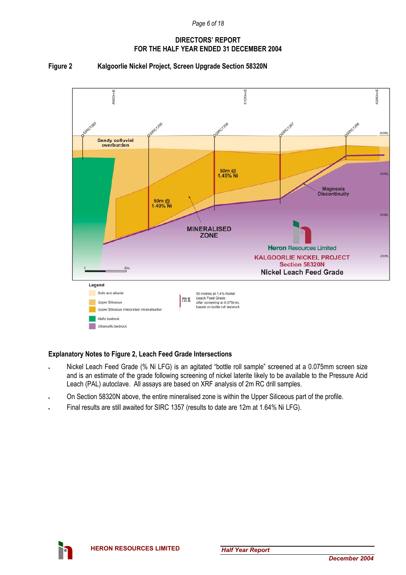### **Figure 2 Kalgoorlie Nickel Project, Screen Upgrade Section 58320N**



### **Explanatory Notes to Figure 2, Leach Feed Grade Intersections**

- Nickel Leach Feed Grade (% Ni LFG) is an agitated "bottle roll sample" screened at a 0.075mm screen size and is an estimate of the grade following screening of nickel laterite likely to be available to the Pressure Acid Leach (PAL) autoclave. All assays are based on XRF analysis of 2m RC drill samples.
- On Section 58320N above, the entire mineralised zone is within the Upper Siliceous part of the profile.
- Final results are still awaited for SIRC 1357 (results to date are 12m at 1.64% Ni LFG).

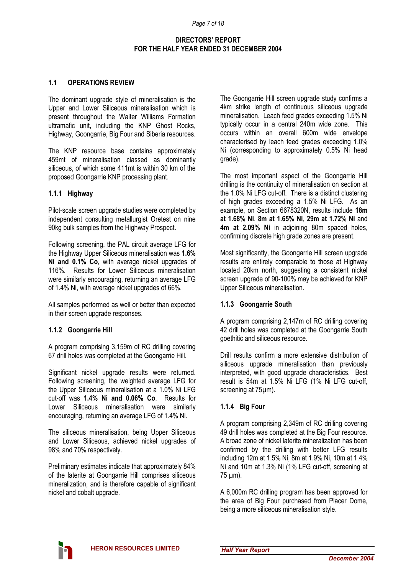### **1.1 OPERATIONS REVIEW**

The dominant upgrade style of mineralisation is the Upper and Lower Siliceous mineralisation which is present throughout the Walter Williams Formation ultramafic unit, including the KNP Ghost Rocks, Highway, Goongarrie, Big Four and Siberia resources.

The KNP resource base contains approximately 459mt of mineralisation classed as dominantly siliceous, of which some 411mt is within 30 km of the proposed Goongarrie KNP processing plant.

### **1.1.1 Highway**

Pilot-scale screen upgrade studies were completed by independent consulting metallurgist Oretest on nine 90kg bulk samples from the Highway Prospect.

Following screening, the PAL circuit average LFG for the Highway Upper Siliceous mineralisation was **1.6% Ni and 0.1% Co**, with average nickel upgrades of 116%. Results for Lower Siliceous mineralisation were similarly encouraging, returning an average LFG of 1.4% Ni, with average nickel upgrades of 66%.

All samples performed as well or better than expected in their screen upgrade responses.

### **1.1.2 Goongarrie Hill**

A program comprising 3,159m of RC drilling covering 67 drill holes was completed at the Goongarrie Hill.

Significant nickel upgrade results were returned. Following screening, the weighted average LFG for the Upper Siliceous mineralisation at a 1.0% Ni LFG cut-off was **1.4% Ni and 0.06% Co**. Results for Lower Siliceous mineralisation were similarly encouraging, returning an average LFG of 1.4% Ni.

The siliceous mineralisation, being Upper Siliceous and Lower Siliceous, achieved nickel upgrades of 98% and 70% respectively.

Preliminary estimates indicate that approximately 84% of the laterite at Goongarrie Hill comprises siliceous mineralization, and is therefore capable of significant nickel and cobalt upgrade.

The Goongarrie Hill screen upgrade study confirms a 4km strike length of continuous siliceous upgrade mineralisation. Leach feed grades exceeding 1.5% Ni typically occur in a central 240m wide zone. This occurs within an overall 600m wide envelope characterised by leach feed grades exceeding 1.0% Ni (corresponding to approximately 0.5% Ni head grade).

The most important aspect of the Goongarrie Hill drilling is the continuity of mineralisation on section at the 1.0% Ni LFG cut-off. There is a distinct clustering of high grades exceeding a 1.5% Ni LFG. As an example, on Section 6678320N, results include **18m at 1.68% Ni**, **8m at 1.65% Ni**, **29m at 1.72% Ni** and **4m at 2.09% Ni** in adjoining 80m spaced holes, confirming discrete high grade zones are present.

Most significantly, the Goongarrie Hill screen upgrade results are entirely comparable to those at Highway located 20km north, suggesting a consistent nickel screen upgrade of 90-100% may be achieved for KNP Upper Siliceous mineralisation.

### **1.1.3 Goongarrie South**

A program comprising 2,147m of RC drilling covering 42 drill holes was completed at the Goongarrie South goethitic and siliceous resource.

Drill results confirm a more extensive distribution of siliceous upgrade mineralisation than previously interpreted, with good upgrade characteristics. Best result is 54m at 1.5% Ni LFG (1% Ni LFG cut-off, screening at 75 $\mu$ m).

### **1.1.4 Big Four**

A program comprising 2,349m of RC drilling covering 49 drill holes was completed at the Big Four resource. A broad zone of nickel laterite mineralization has been confirmed by the drilling with better LFG results including 12m at 1.5% Ni, 8m at 1.9% Ni, 10m at 1.4% Ni and 10m at 1.3% Ni (1% LFG cut-off, screening at 75 µm).

A 6,000m RC drilling program has been approved for the area of Big Four purchased from Placer Dome, being a more siliceous mineralisation style.

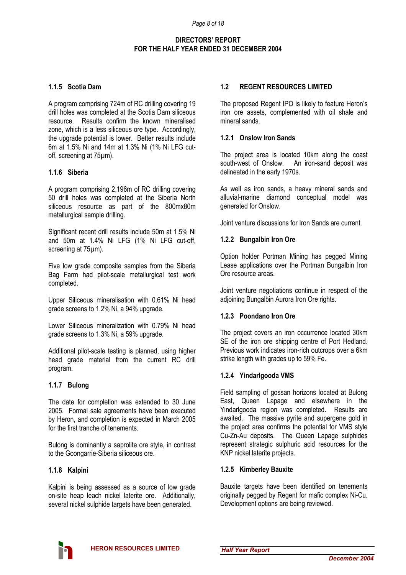### **1.1.5 Scotia Dam**

A program comprising 724m of RC drilling covering 19 drill holes was completed at the Scotia Dam siliceous resource. Results confirm the known mineralised zone, which is a less siliceous ore type. Accordingly, the upgrade potential is lower. Better results include 6m at 1.5% Ni and 14m at 1.3% Ni (1% Ni LFG cutoff, screening at 75µm).

### **1.1.6 Siberia**

A program comprising 2,196m of RC drilling covering 50 drill holes was completed at the Siberia North siliceous resource as part of the 800mx80m metallurgical sample drilling.

Significant recent drill results include 50m at 1.5% Ni and 50m at 1.4% Ni LFG (1% Ni LFG cut-off, screening at 75µm).

Five low grade composite samples from the Siberia Bag Farm had pilot-scale metallurgical test work completed.

Upper Siliceous mineralisation with 0.61% Ni head grade screens to 1.2% Ni, a 94% upgrade.

Lower Siliceous mineralization with 0.79% Ni head grade screens to 1.3% Ni, a 59% upgrade.

Additional pilot-scale testing is planned, using higher head grade material from the current RC drill program.

### **1.1.7 Bulong**

The date for completion was extended to 30 June 2005. Formal sale agreements have been executed by Heron, and completion is expected in March 2005 for the first tranche of tenements.

Bulong is dominantly a saprolite ore style, in contrast to the Goongarrie-Siberia siliceous ore.

### **1.1.8 Kalpini**

Kalpini is being assessed as a source of low grade on-site heap leach nickel laterite ore. Additionally, several nickel sulphide targets have been generated.

### **1.2 REGENT RESOURCES LIMITED**

The proposed Regent IPO is likely to feature Heron's iron ore assets, complemented with oil shale and mineral sands.

### **1.2.1 Onslow Iron Sands**

The project area is located 10km along the coast south-west of Onslow. An iron-sand deposit was delineated in the early 1970s.

As well as iron sands, a heavy mineral sands and alluvial-marine diamond conceptual model was generated for Onslow.

Joint venture discussions for Iron Sands are current.

### **1.2.2 Bungalbin Iron Ore**

Option holder Portman Mining has pegged Mining Lease applications over the Portman Bungalbin Iron Ore resource areas.

Joint venture negotiations continue in respect of the adjoining Bungalbin Aurora Iron Ore rights.

### **1.2.3 Poondano Iron Ore**

The project covers an iron occurrence located 30km SE of the iron ore shipping centre of Port Hedland. Previous work indicates iron-rich outcrops over a 6km strike length with grades up to 59% Fe.

### **1.2.4 Yindarlgooda VMS**

Field sampling of gossan horizons located at Bulong East, Queen Lapage and elsewhere in the Yindarlgooda region was completed. Results are awaited. The massive pyrite and supergene gold in the project area confirms the potential for VMS style Cu-Zn-Au deposits. The Queen Lapage sulphides represent strategic sulphuric acid resources for the KNP nickel laterite projects.

### **1.2.5 Kimberley Bauxite**

Bauxite targets have been identified on tenements originally pegged by Regent for mafic complex Ni-Cu. Development options are being reviewed.

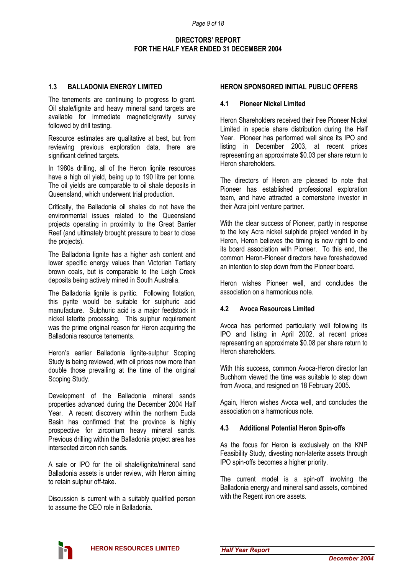### **1.3 BALLADONIA ENERGY LIMITED**

The tenements are continuing to progress to grant. Oil shale/lignite and heavy mineral sand targets are available for immediate magnetic/gravity survey followed by drill testing.

Resource estimates are qualitative at best, but from reviewing previous exploration data, there are significant defined targets.

In 1980s drilling, all of the Heron lignite resources have a high oil yield, being up to 190 litre per tonne. The oil yields are comparable to oil shale deposits in Queensland, which underwent trial production.

Critically, the Balladonia oil shales do not have the environmental issues related to the Queensland projects operating in proximity to the Great Barrier Reef (and ultimately brought pressure to bear to close the projects).

The Balladonia lignite has a higher ash content and lower specific energy values than Victorian Tertiary brown coals, but is comparable to the Leigh Creek deposits being actively mined in South Australia.

The Balladonia lignite is pyritic. Following flotation, this pyrite would be suitable for sulphuric acid manufacture. Sulphuric acid is a major feedstock in nickel laterite processing. This sulphur requirement was the prime original reason for Heron acquiring the Balladonia resource tenements.

Heron's earlier Balladonia lignite-sulphur Scoping Study is being reviewed, with oil prices now more than double those prevailing at the time of the original Scoping Study.

Development of the Balladonia mineral sands properties advanced during the December 2004 Half Year. A recent discovery within the northern Eucla Basin has confirmed that the province is highly prospective for zirconium heavy mineral sands. Previous drilling within the Balladonia project area has intersected zircon rich sands.

A sale or IPO for the oil shale/lignite/mineral sand Balladonia assets is under review, with Heron aiming to retain sulphur off-take.

Discussion is current with a suitably qualified person to assume the CEO role in Balladonia.

### **HERON SPONSORED INITIAL PUBLIC OFFERS**

### **4.1 Pioneer Nickel Limited**

Heron Shareholders received their free Pioneer Nickel Limited in specie share distribution during the Half Year. Pioneer has performed well since its IPO and listing in December 2003, at recent prices representing an approximate \$0.03 per share return to Heron shareholders.

The directors of Heron are pleased to note that Pioneer has established professional exploration team, and have attracted a cornerstone investor in their Acra joint venture partner.

With the clear success of Pioneer, partly in response to the key Acra nickel sulphide project vended in by Heron, Heron believes the timing is now right to end its board association with Pioneer. To this end, the common Heron-Pioneer directors have foreshadowed an intention to step down from the Pioneer board.

Heron wishes Pioneer well, and concludes the association on a harmonious note.

### **4.2 Avoca Resources Limited**

Avoca has performed particularly well following its IPO and listing in April 2002, at recent prices representing an approximate \$0.08 per share return to Heron shareholders.

With this success, common Avoca-Heron director lan Buchhorn viewed the time was suitable to step down from Avoca, and resigned on 18 February 2005.

Again, Heron wishes Avoca well, and concludes the association on a harmonious note.

### **4.3 Additional Potential Heron Spin-offs**

As the focus for Heron is exclusively on the KNP Feasibility Study, divesting non-laterite assets through IPO spin-offs becomes a higher priority.

The current model is a spin-off involving the Balladonia energy and mineral sand assets, combined with the Regent iron ore assets.

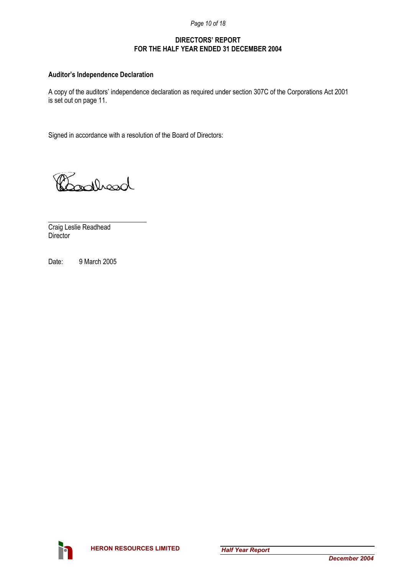*Page 10 of 18* 

### **DIRECTORS' REPORT FOR THE HALF YEAR ENDED 31 DECEMBER 2004**

### **Auditor's Independence Declaration**

A copy of the auditors' independence declaration as required under section 307C of the Corporations Act 2001 is set out on page 11.

Signed in accordance with a resolution of the Board of Directors:

Booklead

l Craig Leslie Readhead **Director** 

Date: 9 March 2005

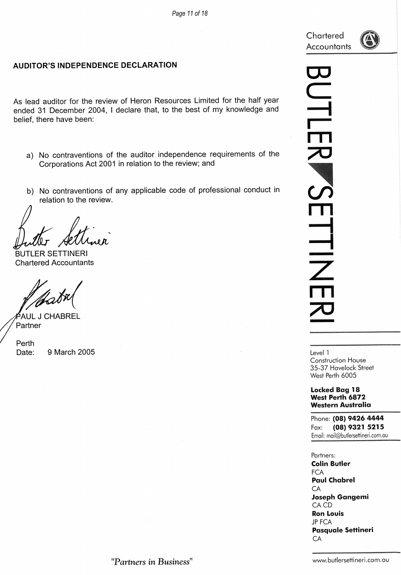Chartered Accountants



### **AUDITOR'S INDEPENDENCE DECLARATION**

As lead auditor for the review of Heron Resources Limited for the half year ended 31 December 2004, I declare that, to the best of my knowledge and belief, there have been:

- a) No contraventions of the auditor independence requirements of the Corporations Act 2001 in relation to the review; and
- b) No contraventions of any applicable code of professional conduct in relation to the review.

**BUTLER SETTINERI Chartered Accountants** 

<sup>5</sup>AUL J CHABREL Partner

Perth 9 March 2005 Date:

UTLEI K SE HIZ

> Level 1 **Construction House** 35-37 Havelock Street West Perth 6005

**Locked Bag 18** West Perth 6872 **Western Australia** 

Phone: (08) 9426 4444 (08) 9321 5215 Fax: Email: mail@butlersettineri.com.au

Partners: **Colin Butler FCA Paul Chabrel** CA **Joseph Gangemi** CA CD **Ron Louis JP FCA Pasquale Settineri** CA

"Partners in Business"

www.butlersettineri.com.au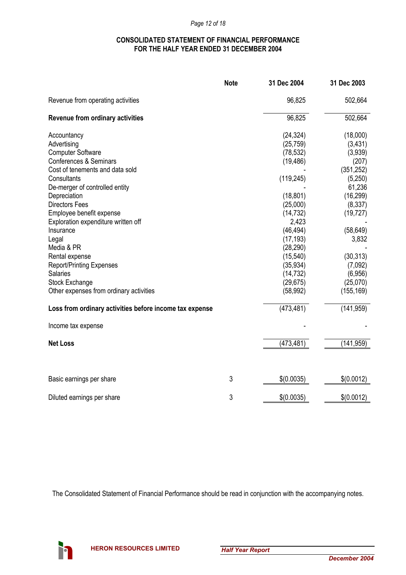### *Page 12 of 18*

### **CONSOLIDATED STATEMENT OF FINANCIAL PERFORMANCE FOR THE HALF YEAR ENDED 31 DECEMBER 2004**

|                                                         | <b>Note</b> | 31 Dec 2004 | 31 Dec 2003 |
|---------------------------------------------------------|-------------|-------------|-------------|
| Revenue from operating activities                       |             | 96,825      | 502,664     |
| <b>Revenue from ordinary activities</b>                 |             | 96,825      | 502,664     |
| Accountancy                                             |             | (24, 324)   | (18,000)    |
| Advertising                                             |             | (25, 759)   | (3, 431)    |
| <b>Computer Software</b>                                |             | (78, 532)   | (3,939)     |
| Conferences & Seminars                                  |             | (19, 486)   | (207)       |
| Cost of tenements and data sold                         |             |             | (351, 252)  |
| Consultants                                             |             | (119, 245)  | (5,250)     |
| De-merger of controlled entity                          |             |             | 61,236      |
| Depreciation                                            |             | (18, 801)   | (16, 299)   |
| <b>Directors Fees</b>                                   |             | (25,000)    | (8, 337)    |
| Employee benefit expense                                |             | (14, 732)   | (19, 727)   |
| Exploration expenditure written off                     |             | 2,423       |             |
| Insurance                                               |             | (46, 494)   | (58, 649)   |
| Legal                                                   |             | (17, 193)   | 3,832       |
| Media & PR                                              |             | (28, 290)   |             |
| Rental expense                                          |             | (15, 540)   | (30, 313)   |
| <b>Report/Printing Expenses</b>                         |             | (35, 934)   | (7,092)     |
| <b>Salaries</b>                                         |             | (14, 732)   | (6,956)     |
| Stock Exchange                                          |             | (29, 675)   | (25,070)    |
| Other expenses from ordinary activities                 |             | (58, 992)   | (155, 169)  |
| Loss from ordinary activities before income tax expense |             | (473, 481)  | (141, 959)  |
| Income tax expense                                      |             |             |             |
| <b>Net Loss</b>                                         |             | (473, 481)  | (141, 959)  |
|                                                         |             |             |             |
| Basic earnings per share                                | 3           | \$(0.0035)  | \$(0.0012)  |
| Diluted earnings per share                              | 3           | \$(0.0035)  | \$(0.0012)  |

The Consolidated Statement of Financial Performance should be read in conjunction with the accompanying notes.

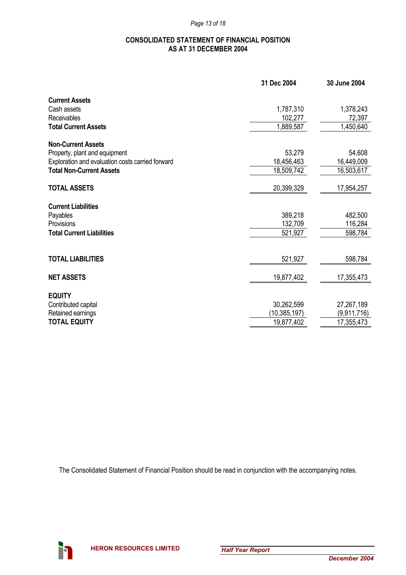### **CONSOLIDATED STATEMENT OF FINANCIAL POSITION AS AT 31 DECEMBER 2004**

|                                                  | 31 Dec 2004    | 30 June 2004 |
|--------------------------------------------------|----------------|--------------|
| <b>Current Assets</b>                            |                |              |
| Cash assets                                      | 1,787,310      | 1,378,243    |
| Receivables                                      | 102,277        | 72,397       |
| <b>Total Current Assets</b>                      | 1,889,587      | 1,450,640    |
| <b>Non-Current Assets</b>                        |                |              |
| Property, plant and equipment                    | 53,279         | 54,608       |
| Exploration and evaluation costs carried forward | 18,456,463     | 16,449,009   |
| <b>Total Non-Current Assets</b>                  | 18,509,742     | 16,503,617   |
| <b>TOTAL ASSETS</b>                              | 20,399,329     | 17,954,257   |
| <b>Current Liabilities</b>                       |                |              |
| Payables                                         | 389,218        | 482,500      |
| Provisions                                       | 132,709        | 116,284      |
| <b>Total Current Liabilities</b>                 | 521,927        | 598,784      |
|                                                  |                |              |
| <b>TOTAL LIABILITIES</b>                         | 521,927        | 598,784      |
| <b>NET ASSETS</b>                                | 19,877,402     | 17,355,473   |
|                                                  |                |              |
| <b>EQUITY</b>                                    |                |              |
| Contributed capital                              | 30,262,599     | 27,267,189   |
| Retained earnings                                | (10, 385, 197) | (9,911,716)  |
| <b>TOTAL EQUITY</b>                              | 19,877,402     | 17,355,473   |

The Consolidated Statement of Financial Position should be read in conjunction with the accompanying notes.

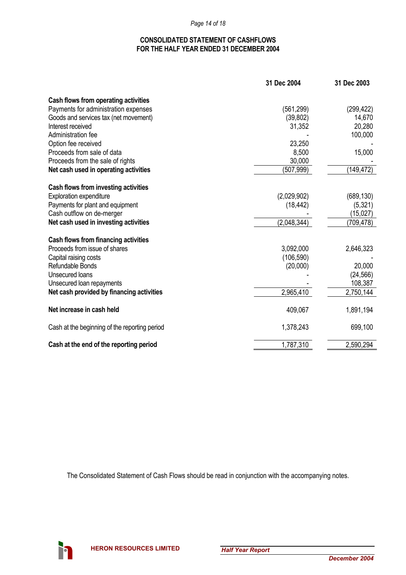*Page 14 of 18* 

### **CONSOLIDATED STATEMENT OF CASHFLOWS FOR THE HALF YEAR ENDED 31 DECEMBER 2004**

|                                               | 31 Dec 2004 | 31 Dec 2003 |
|-----------------------------------------------|-------------|-------------|
| Cash flows from operating activities          |             |             |
| Payments for administration expenses          | (561, 299)  | (299, 422)  |
| Goods and services tax (net movement)         | (39, 802)   | 14,670      |
| Interest received                             | 31,352      | 20,280      |
| Administration fee                            |             | 100,000     |
| Option fee received                           | 23,250      |             |
| Proceeds from sale of data                    | 8,500       | 15,000      |
| Proceeds from the sale of rights              | 30,000      |             |
| Net cash used in operating activities         | (507,999)   | (149, 472)  |
| Cash flows from investing activities          |             |             |
| <b>Exploration expenditure</b>                | (2,029,902) | (689, 130)  |
| Payments for plant and equipment              | (18, 442)   | (5,321)     |
| Cash outflow on de-merger                     |             | (15,027)    |
| Net cash used in investing activities         | (2,048,344) | (709, 478)  |
| Cash flows from financing activities          |             |             |
| Proceeds from issue of shares                 | 3,092,000   | 2,646,323   |
| Capital raising costs                         | (106, 590)  |             |
| Refundable Bonds                              | (20,000)    | 20,000      |
| Unsecured loans                               |             | (24, 566)   |
| Unsecured loan repayments                     |             | 108,387     |
| Net cash provided by financing activities     | 2,965,410   | 2,750,144   |
| Net increase in cash held                     | 409,067     | 1,891,194   |
| Cash at the beginning of the reporting period | 1,378,243   | 699,100     |
| Cash at the end of the reporting period       | 1,787,310   | 2,590,294   |

The Consolidated Statement of Cash Flows should be read in conjunction with the accompanying notes.

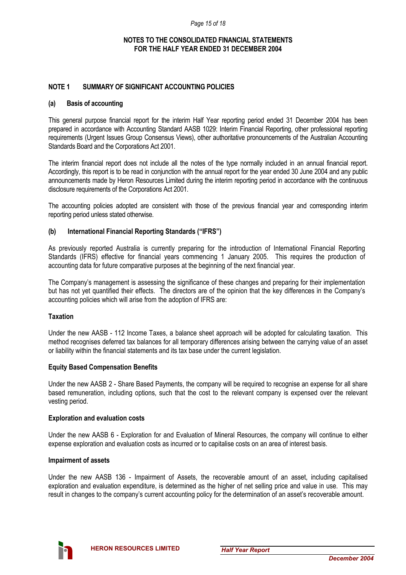### **NOTES TO THE CONSOLIDATED FINANCIAL STATEMENTS FOR THE HALF YEAR ENDED 31 DECEMBER 2004**

### **NOTE 1 SUMMARY OF SIGNIFICANT ACCOUNTING POLICIES**

### **(a) Basis of accounting**

This general purpose financial report for the interim Half Year reporting period ended 31 December 2004 has been prepared in accordance with Accounting Standard AASB 1029: Interim Financial Reporting, other professional reporting requirements (Urgent Issues Group Consensus Views), other authoritative pronouncements of the Australian Accounting Standards Board and the Corporations Act 2001.

The interim financial report does not include all the notes of the type normally included in an annual financial report. Accordingly, this report is to be read in conjunction with the annual report for the year ended 30 June 2004 and any public announcements made by Heron Resources Limited during the interim reporting period in accordance with the continuous disclosure requirements of the Corporations Act 2001.

The accounting policies adopted are consistent with those of the previous financial year and corresponding interim reporting period unless stated otherwise.

### **(b) International Financial Reporting Standards ("IFRS")**

As previously reported Australia is currently preparing for the introduction of International Financial Reporting Standards (IFRS) effective for financial years commencing 1 January 2005. This requires the production of accounting data for future comparative purposes at the beginning of the next financial year.

The Company's management is assessing the significance of these changes and preparing for their implementation but has not yet quantified their effects. The directors are of the opinion that the key differences in the Company's accounting policies which will arise from the adoption of IFRS are:

### **Taxation**

Under the new AASB - 112 Income Taxes, a balance sheet approach will be adopted for calculating taxation. This method recognises deferred tax balances for all temporary differences arising between the carrying value of an asset or liability within the financial statements and its tax base under the current legislation.

### **Equity Based Compensation Benefits**

Under the new AASB 2 - Share Based Payments, the company will be required to recognise an expense for all share based remuneration, including options, such that the cost to the relevant company is expensed over the relevant vesting period.

### **Exploration and evaluation costs**

Under the new AASB 6 - Exploration for and Evaluation of Mineral Resources, the company will continue to either expense exploration and evaluation costs as incurred or to capitalise costs on an area of interest basis.

### **Impairment of assets**

Under the new AASB 136 - Impairment of Assets, the recoverable amount of an asset, including capitalised exploration and evaluation expenditure, is determined as the higher of net selling price and value in use. This may result in changes to the company's current accounting policy for the determination of an asset's recoverable amount.

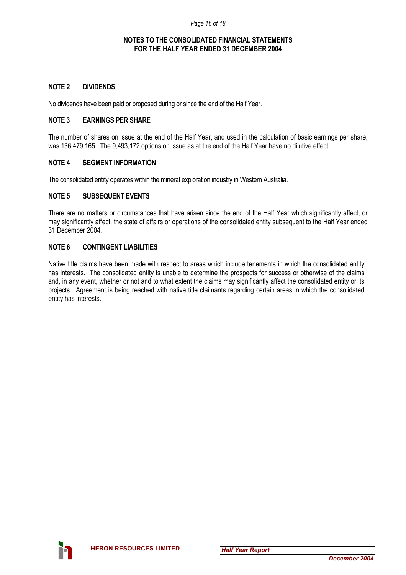### **NOTES TO THE CONSOLIDATED FINANCIAL STATEMENTS FOR THE HALF YEAR ENDED 31 DECEMBER 2004**

### **NOTE 2 DIVIDENDS**

No dividends have been paid or proposed during or since the end of the Half Year.

### **NOTE 3 EARNINGS PER SHARE**

The number of shares on issue at the end of the Half Year, and used in the calculation of basic earnings per share, was 136,479,165. The 9,493,172 options on issue as at the end of the Half Year have no dilutive effect.

### **NOTE 4 SEGMENT INFORMATION**

The consolidated entity operates within the mineral exploration industry in Western Australia.

### **NOTE 5 SUBSEQUENT EVENTS**

There are no matters or circumstances that have arisen since the end of the Half Year which significantly affect, or may significantly affect, the state of affairs or operations of the consolidated entity subsequent to the Half Year ended 31 December 2004.

### **NOTE 6 CONTINGENT LIABILITIES**

Native title claims have been made with respect to areas which include tenements in which the consolidated entity has interests. The consolidated entity is unable to determine the prospects for success or otherwise of the claims and, in any event, whether or not and to what extent the claims may significantly affect the consolidated entity or its projects. Agreement is being reached with native title claimants regarding certain areas in which the consolidated entity has interests.

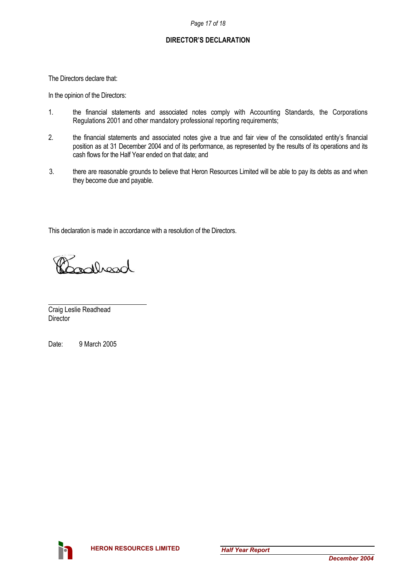### **DIRECTOR'S DECLARATION**

The Directors declare that:

In the opinion of the Directors:

- 1. the financial statements and associated notes comply with Accounting Standards, the Corporations Regulations 2001 and other mandatory professional reporting requirements;
- 2. the financial statements and associated notes give a true and fair view of the consolidated entity's financial position as at 31 December 2004 and of its performance, as represented by the results of its operations and its cash flows for the Half Year ended on that date; and
- 3. there are reasonable grounds to believe that Heron Resources Limited will be able to pay its debts as and when they become due and payable.

This declaration is made in accordance with a resolution of the Directors.

populación

l Craig Leslie Readhead **Director** 

Date: 9 March 2005